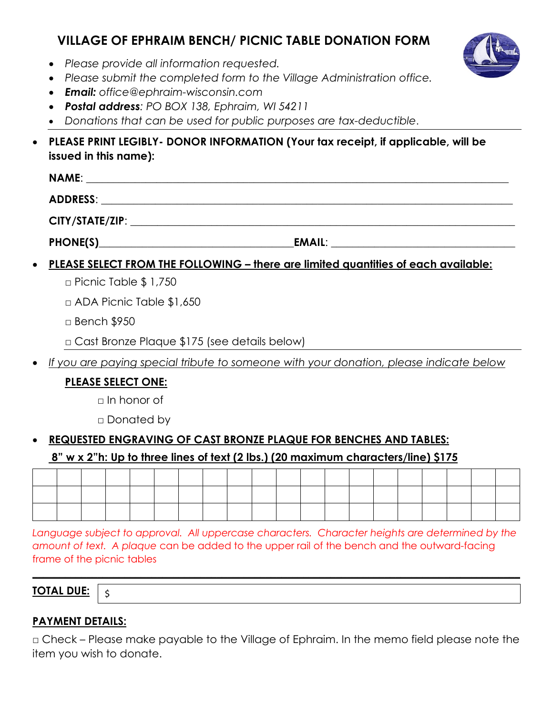# **VILLAGE OF EPHRAIM BENCH/ PICNIC TABLE DONATION FORM**



- *Please provide all information requested.*
- *Please submit the completed form to the Village Administration office.*
- *Email: office@ephraim-wisconsin.com*
- *Postal address: PO BOX 138, Ephraim, WI 54211*
- *Donations that can be used for public purposes are tax-deductible*.
- **PLEASE PRINT LEGIBLY- DONOR INFORMATION (Your tax receipt, if applicable, will be issued in this name):**

| <b>NAME:</b>    |  |
|-----------------|--|
| <b>ADDRESS:</b> |  |
| CITY/STATE/ZIP: |  |

PHONE(S) FORES

# • **PLEASE SELECT FROM THE FOLLOWING – there are limited quantities of each available:**

- $\Box$  Picnic Table \$ 1,750
- □ ADA Picnic Table \$1,650
- □ Bench \$950
- □ Cast Bronze Plaque \$175 (see details below)
- *If you are paying special tribute to someone with your donation, please indicate below*

### **PLEASE SELECT ONE:**

- $\Box$  In honor of
- □ Donated by

# • **REQUESTED ENGRAVING OF CAST BRONZE PLAQUE FOR BENCHES AND TABLES:**

### **8" w x 2"h: Up to three lines of text (2 lbs.) (20 maximum characters/line) \$175**

Language subject to approval. All uppercase characters. Character heights are determined by the *amount of text. A plaque* can be added to the upper rail of the bench and the outward-facing frame of the picnic tables

**\_\_\_\_\_\_\_\_\_\_\_\_\_\_\_\_\_\_\_\_\_\_\_\_\_\_\_\_\_\_\_\_\_\_\_\_\_\_\_\_\_\_\_\_\_\_\_\_\_\_\_\_\_\_\_\_\_\_\_\_\_\_\_\_\_\_\_\_\_\_\_\_\_\_\_\_\_\_\_\_\_\_\_\_\_\_\_\_\_\_**

**TOTAL DUE:**

### **PAYMENT DETAILS:**

\$

□ Check – Please make payable to the Village of Ephraim. In the memo field please note the item you wish to donate.